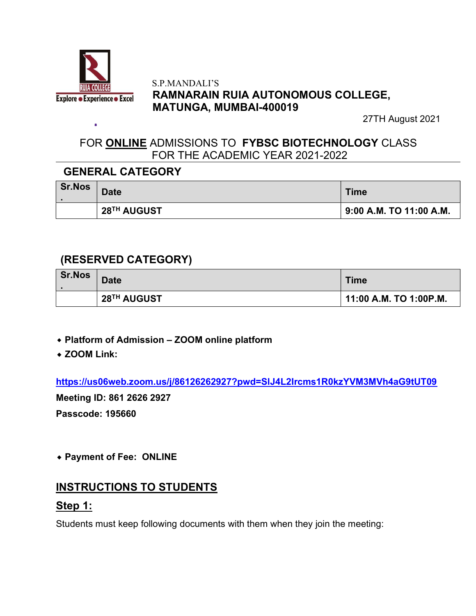

à.

#### S.P.MANDALI'S RAMNARAIN RUIA AUTONOMOUS COLLEGE, MATUNGA, MUMBAI-400019

27TH August 2021

# FOR ONLINE ADMISSIONS TO FYBSC BIOTECHNOLOGY CLASS FOR THE ACADEMIC YEAR 2021-2022

# GENERAL CATEGORY

| Sr.Nos | <b>Date</b> | <b>Time</b>                           |
|--------|-------------|---------------------------------------|
|        | 28TH AUGUST | $\frac{1}{2}$ 9:00 A.M. TO 11:00 A.M. |

# (RESERVED CATEGORY)

| <b>Sr.Nos</b> | <b>Date</b> | <b>Time</b>            |
|---------------|-------------|------------------------|
|               | 28TH AUGUST | 11:00 A.M. TO 1:00P.M. |

- ⬥ Platform of Admission ZOOM online platform
- ◆ ZOOM Link:

https://us06web.zoom.us/j/86126262927?pwd=SlJ4L2Ircms1R0kzYVM3MVh4aG9tUT09

Meeting ID: 861 2626 2927

Passcode: 195660

⬥ Payment of Fee: ONLINE

### INSTRUCTIONS TO STUDENTS

### Step 1:

Students must keep following documents with them when they join the meeting: